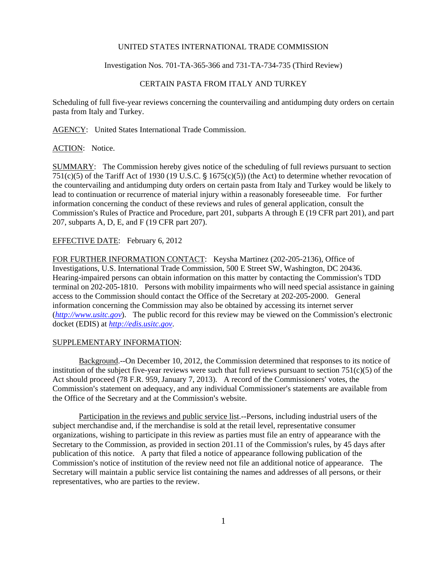### UNITED STATES INTERNATIONAL TRADE COMMISSION

Investigation Nos. 701-TA-365-366 and 731-TA-734-735 (Third Review)

# CERTAIN PASTA FROM ITALY AND TURKEY

Scheduling of full five-year reviews concerning the countervailing and antidumping duty orders on certain pasta from Italy and Turkey.

AGENCY: United States International Trade Commission.

### ACTION: Notice.

SUMMARY: The Commission hereby gives notice of the scheduling of full reviews pursuant to section 751(c)(5) of the Tariff Act of 1930 (19 U.S.C.  $\S$  1675(c)(5)) (the Act) to determine whether revocation of the countervailing and antidumping duty orders on certain pasta from Italy and Turkey would be likely to lead to continuation or recurrence of material injury within a reasonably foreseeable time. For further information concerning the conduct of these reviews and rules of general application, consult the Commission's Rules of Practice and Procedure, part 201, subparts A through E (19 CFR part 201), and part 207, subparts A, D, E, and F (19 CFR part 207).

## EFFECTIVE DATE: February 6, 2012

FOR FURTHER INFORMATION CONTACT: Keysha Martinez (202-205-2136), Office of Investigations, U.S. International Trade Commission, 500 E Street SW, Washington, DC 20436. Hearing-impaired persons can obtain information on this matter by contacting the Commission's TDD terminal on 202-205-1810. Persons with mobility impairments who will need special assistance in gaining access to the Commission should contact the Office of the Secretary at 202-205-2000. General information concerning the Commission may also be obtained by accessing its internet server  $(http://www.ustc.gov)$ . The public record for this review may be viewed on the Commission's electronic docket (EDIS) at *http://edis.usitc.gov*.

#### SUPPLEMENTARY INFORMATION:

Background.--On December 10, 2012, the Commission determined that responses to its notice of institution of the subject five-year reviews were such that full reviews pursuant to section  $751(c)(5)$  of the Act should proceed (78 F.R. 959, January 7, 2013). A record of the Commissioners' votes, the Commission's statement on adequacy, and any individual Commissioner's statements are available from the Office of the Secretary and at the Commission's website.

Participation in the reviews and public service list.--Persons, including industrial users of the subject merchandise and, if the merchandise is sold at the retail level, representative consumer organizations, wishing to participate in this review as parties must file an entry of appearance with the Secretary to the Commission, as provided in section  $201.11$  of the Commission's rules, by 45 days after publication of this notice. A party that filed a notice of appearance following publication of the Commission's notice of institution of the review need not file an additional notice of appearance. The Secretary will maintain a public service list containing the names and addresses of all persons, or their representatives, who are parties to the review.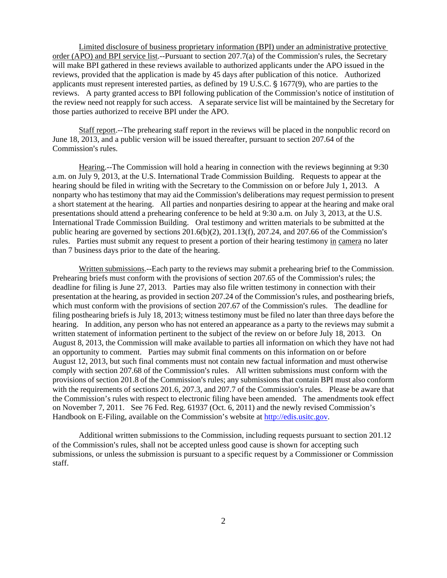Limited disclosure of business proprietary information (BPI) under an administrative protective order (APO) and BPI service list.--Pursuant to section  $207.7(a)$  of the Commission's rules, the Secretary will make BPI gathered in these reviews available to authorized applicants under the APO issued in the reviews, provided that the application is made by 45 days after publication of this notice. Authorized applicants must represent interested parties, as defined by 19 U.S.C.  $\S$  1677(9), who are parties to the reviews. A party granted access to BPI following publication of the Commission's notice of institution of the review need not reapply for such access. A separate service list will be maintained by the Secretary for those parties authorized to receive BPI under the APO.

Staff report.--The prehearing staff report in the reviews will be placed in the nonpublic record on June 18, 2013, and a public version will be issued thereafter, pursuant to section 207.64 of the Commission's rules.

Hearing.--The Commission will hold a hearing in connection with the reviews beginning at 9:30 a.m. on July 9, 2013, at the U.S. International Trade Commission Building. Requests to appear at the hearing should be filed in writing with the Secretary to the Commission on or before July 1, 2013. A nonparty who has testimony that may aid the Commission's deliberations may request permission to present a short statement at the hearing. All parties and nonparties desiring to appear at the hearing and make oral presentations should attend a prehearing conference to be held at 9:30 a.m. on July 3, 2013, at the U.S. International Trade Commission Building. Oral testimony and written materials to be submitted at the public hearing are governed by sections  $201.6(b)(2)$ ,  $201.13(f)$ ,  $207.24$ , and  $207.66$  of the Commission's rules. Parties must submit any request to present a portion of their hearing testimony in camera no later than 7 business days prior to the date of the hearing.

Written submissions.--Each party to the reviews may submit a prehearing brief to the Commission. Prehearing briefs must conform with the provisions of section 207.65 of the Commission's rules; the deadline for filing is June 27, 2013. Parties may also file written testimony in connection with their presentation at the hearing, as provided in section 207.24 of the Commission's rules, and posthearing briefs, which must conform with the provisions of section 207.67 of the Commission's rules. The deadline for filing posthearing briefs is July 18, 2013; witness testimony must be filed no later than three days before the hearing. In addition, any person who has not entered an appearance as a party to the reviews may submit a written statement of information pertinent to the subject of the review on or before July 18, 2013. On August 8, 2013, the Commission will make available to parties all information on which they have not had an opportunity to comment. Parties may submit final comments on this information on or before August 12, 2013, but such final comments must not contain new factual information and must otherwise comply with section 207.68 of the Commission's rules. All written submissions must conform with the provisions of section 201.8 of the Commission's rules; any submissions that contain BPI must also conform with the requirements of sections  $201.6$ ,  $207.3$ , and  $207.7$  of the Commission's rules. Please be aware that the Commission's rules with respect to electronic filing have been amended. The amendments took effect on November 7, 2011. See 76 Fed. Reg. 61937 (Oct. 6, 2011) and the newly revised Commission's Handbook on E-Filing, available on the Commission's website at http://edis.usitc.gov.

Additional written submissions to the Commission, including requests pursuant to section 201.12 of the Commission's rules, shall not be accepted unless good cause is shown for accepting such submissions, or unless the submission is pursuant to a specific request by a Commissioner or Commission staff.